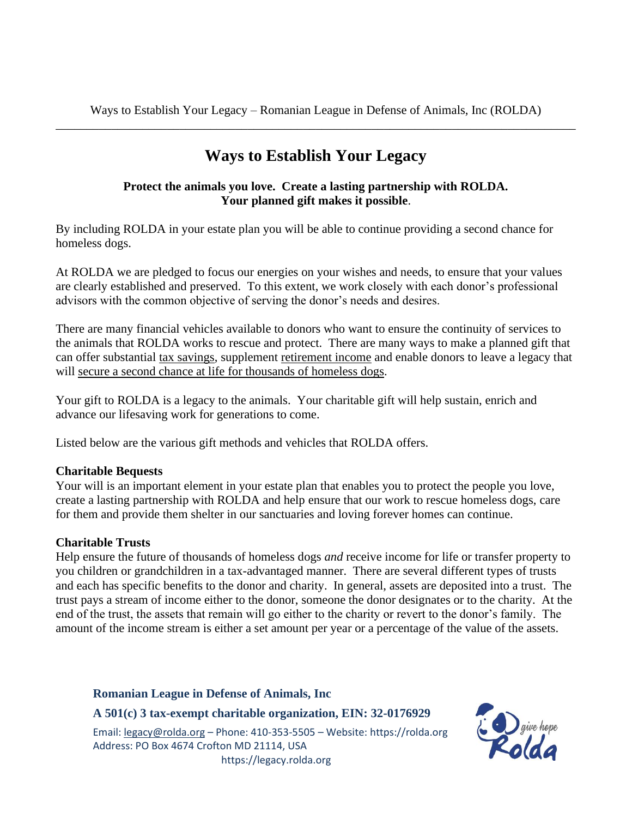# **Ways to Establish Your Legacy**

#### **Protect the animals you love. Create a lasting partnership with ROLDA. Your planned gift makes it possible**.

By including ROLDA in your estate plan you will be able to continue providing a second chance for homeless dogs.

At ROLDA we are pledged to focus our energies on your wishes and needs, to ensure that your values are clearly established and preserved. To this extent, we work closely with each donor's professional advisors with the common objective of serving the donor's needs and desires.

There are many financial vehicles available to donors who want to ensure the continuity of services to the animals that ROLDA works to rescue and protect. There are many ways to make a planned gift that can offer substantial tax savings, supplement retirement income and enable donors to leave a legacy that will secure a second chance at life for thousands of homeless dogs.

Your gift to ROLDA is a legacy to the animals. Your charitable gift will help sustain, enrich and advance our lifesaving work for generations to come.

Listed below are the various gift methods and vehicles that ROLDA offers.

## **Charitable Bequests**

Your will is an important element in your estate plan that enables you to protect the people you love, create a lasting partnership with ROLDA and help ensure that our work to rescue homeless dogs, care for them and provide them shelter in our sanctuaries and loving forever homes can continue.

## **Charitable Trusts**

Help ensure the future of thousands of homeless dogs *and* receive income for life or transfer property to you children or grandchildren in a tax-advantaged manner. There are several different types of trusts and each has specific benefits to the donor and charity. In general, assets are deposited into a trust. The trust pays a stream of income either to the donor, someone the donor designates or to the charity. At the end of the trust, the assets that remain will go either to the charity or revert to the donor's family. The amount of the income stream is either a set amount per year or a percentage of the value of the assets.

#### **Romanian League in Defense of Animals, Inc**

**A 501(c) 3 tax-exempt charitable organization, EIN: 32-0176929**

Email: [legacy@rolda.org](mailto:rolda@rolda.org) – Phone: 410-353-5505 – Website: https://rolda.org Address: PO Box 4674 Crofton MD 21114, USA https://legacy.rolda.org

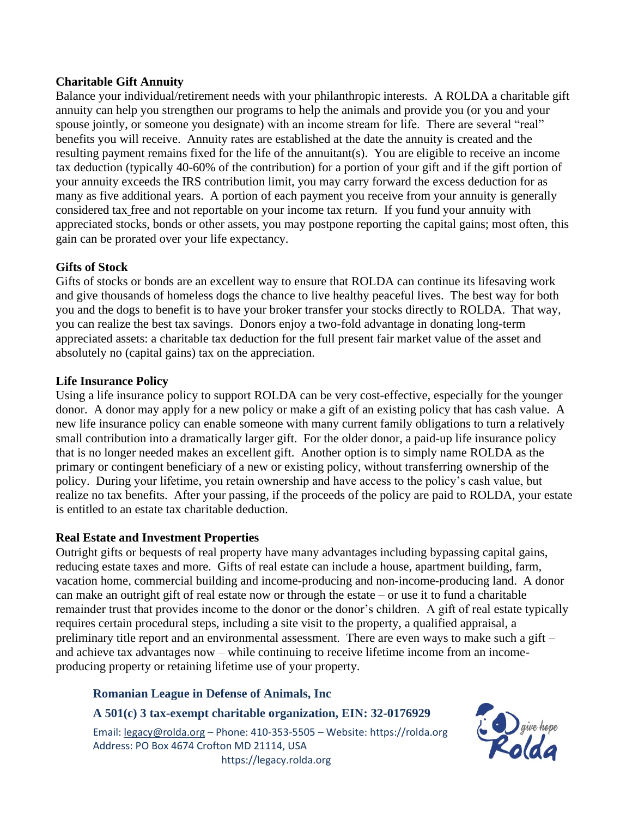#### **Charitable Gift Annuity**

Balance your individual/retirement needs with your philanthropic interests. A ROLDA a charitable gift annuity can help you strengthen our programs to help the animals and provide you (or you and your spouse jointly, or someone you designate) with an income stream for life. There are several "real" benefits you will receive. Annuity rates are established at the date the annuity is created and the resulting payment remains fixed for the life of the annuitant(s). You are eligible to receive an income tax deduction (typically 40-60% of the contribution) for a portion of your gift and if the gift portion of your annuity exceeds the IRS contribution limit, you may carry forward the excess deduction for as many as five additional years. A portion of each payment you receive from your annuity is generally considered tax free and not reportable on your income tax return. If you fund your annuity with appreciated stocks, bonds or other assets, you may postpone reporting the capital gains; most often, this gain can be prorated over your life expectancy.

## **Gifts of Stock**

Gifts of stocks or bonds are an excellent way to ensure that ROLDA can continue its lifesaving work and give thousands of homeless dogs the chance to live healthy peaceful lives. The best way for both you and the dogs to benefit is to have your broker transfer your stocks directly to ROLDA. That way, you can realize the best tax savings. Donors enjoy a two-fold advantage in donating long-term appreciated assets: a charitable tax deduction for the full present fair market value of the asset and absolutely no (capital gains) tax on the appreciation.

## **Life Insurance Policy**

Using a life insurance policy to support ROLDA can be very cost-effective, especially for the younger donor. A donor may apply for a new policy or make a gift of an existing policy that has cash value. A new life insurance policy can enable someone with many current family obligations to turn a relatively small contribution into a dramatically larger gift. For the older donor, a paid-up life insurance policy that is no longer needed makes an excellent gift. Another option is to simply name ROLDA as the primary or contingent beneficiary of a new or existing policy, without transferring ownership of the policy. During your lifetime, you retain ownership and have access to the policy's cash value, but realize no tax benefits. After your passing, if the proceeds of the policy are paid to ROLDA, your estate is entitled to an estate tax charitable deduction.

## **Real Estate and Investment Properties**

Outright gifts or bequests of real property have many advantages including bypassing capital gains, reducing estate taxes and more. Gifts of real estate can include a house, apartment building, farm, vacation home, commercial building and income-producing and non-income-producing land. A donor can make an outright gift of real estate now or through the estate – or use it to fund a charitable remainder trust that provides income to the donor or the donor's children. A gift of real estate typically requires certain procedural steps, including a site visit to the property, a qualified appraisal, a preliminary title report and an environmental assessment. There are even ways to make such a gift – and achieve tax advantages now – while continuing to receive lifetime income from an incomeproducing property or retaining lifetime use of your property.

## **Romanian League in Defense of Animals, Inc**

## **A 501(c) 3 tax-exempt charitable organization, EIN: 32-0176929**

Email: [legacy@rolda.org](mailto:rolda@rolda.org) – Phone: 410-353-5505 – Website: https://rolda.org Address: PO Box 4674 Crofton MD 21114, USA https://legacy.rolda.org